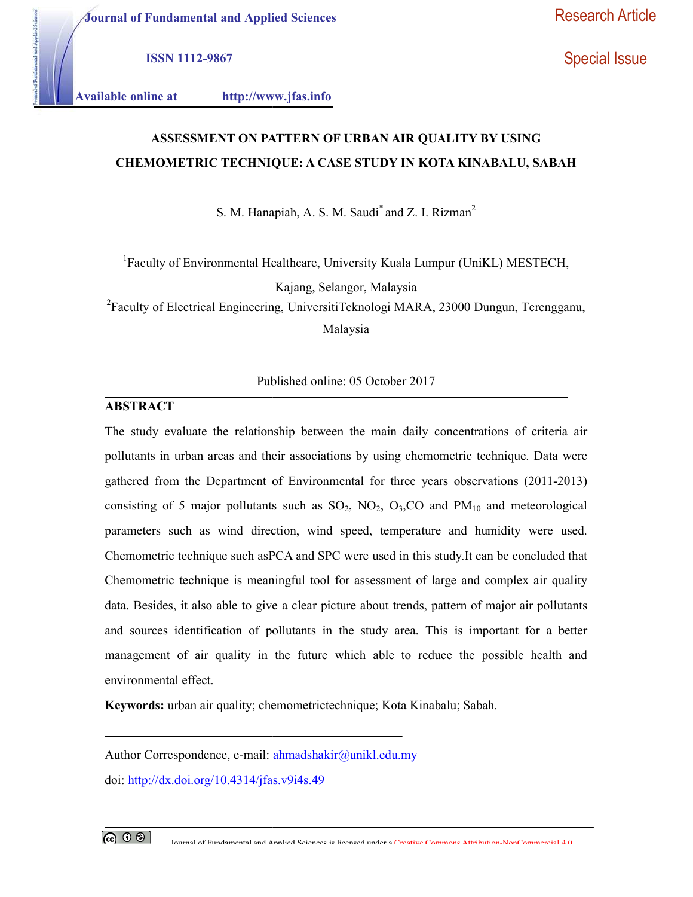Journal of Fundamental and Applied Sciences

ISSN 1112-9867

Special Issue

ntal and Applied Science

Available online at http://www.jfas.info

# ASSESSMENT ON PATTERN OF URBAN AIR QUALITY BY USING CHEMOMETRIC TECHNIQUE: A CASE STUDY IN KOTA KINABALU, SABAH

S. M. Hanapiah, A. S. M. Saudi $^*$  and Z. I. Rizman<sup>2</sup>

 ${}^{1}$ Faculty of Environmental Healthcare, University Kuala Lumpur (UniKL) MESTECH,

Kajang, Selangor, Malaysia

<sup>2</sup>Faculty of Electrical Engineering, UniversitiTeknologi MARA, 23000 Dungun, Terengganu,<br>Malaysia

Published online: 05 October 2017

#### ABSTRACT

The study evaluate the relationship between the main daily concentrations of criteria air pollutants in urban areas and their associations by using chemometric technique. Data were gathered from the Department of Environmental for three years observations (2011-2013) gathered from the Department of Environmental for three years observations (2011-2013)<br>consisting of 5 major pollutants such as  $SO_2$ ,  $NO_2$ ,  $O_3$ ,  $CO$  and  $PM_{10}$  and meteorological parameters such as wind direction, wind speed, temperature and humidity were used. parameters such as wind direction, wind speed, temperature and humidity were used.<br>Chemometric technique such asPCA and SPC were used in this study.It can be concluded that Chemometric technique is meaningful tool for assessment of large and complex air quality data. Besides, it also able to give a clear picture about trends, pattern of major air pollutants and sources identification of pollutants in the study area. This is important for a better management of air quality in the future which able to reduce the possible health and environmental effect. echnique is meaningful tool for assessment of large and complex air quality<br>it also able to give a clear picture about trends, pattern of major air pollutants<br>lentification of pollutants in the study area. This is importan ASSESSMENT ON PATTERN OF URBAN AIR QUALITY BY USING<br>
COMETRIC TECHNIQUE: A CASE STUDY IN KOTA KINARALU, SABAH<br>
S. M. Hampitah, A. S. M. Stouli and Z. L. Rizman<sup>2</sup><br>
Hy of Environmental Healthcure. University Keala Lumpur (U Chemometric technique is meaningful tool for assessment of large and complex air quality<br>data. Besides, it also able to give a clear picture about trends, pattern of major air pollutants<br>and sources identification of pollu mal of Fundamental and Applied Sciences<br>
1182-9867<br>
1182-9867<br>
1182-9867<br>
1182-9867<br>
1182-9867<br>
1182-9867<br>
1182-867<br>
1183-8585<br>
1183-8585<br>
1183-8585<br>
1183-8585<br>
1183-8585<br>
1184-84 CAERE STUDY IN KOTA KINABALU, SABAH<br>
1184

Keywords: urban air quality; chemometrictechnique; Kota Kinabalu; Sabah.

Author Correspondence, e-mail: ahmadshakir@unikl.edu.my

doi: http://dx.doi.org/10.4314/jfas.v9i4s. http://dx.doi.org/10.4314/jfas.v9i4s.49

Journal of Fundamental and Annlied Sciences is licensed under a Creative Commons Attribution-NonCommercial 4.0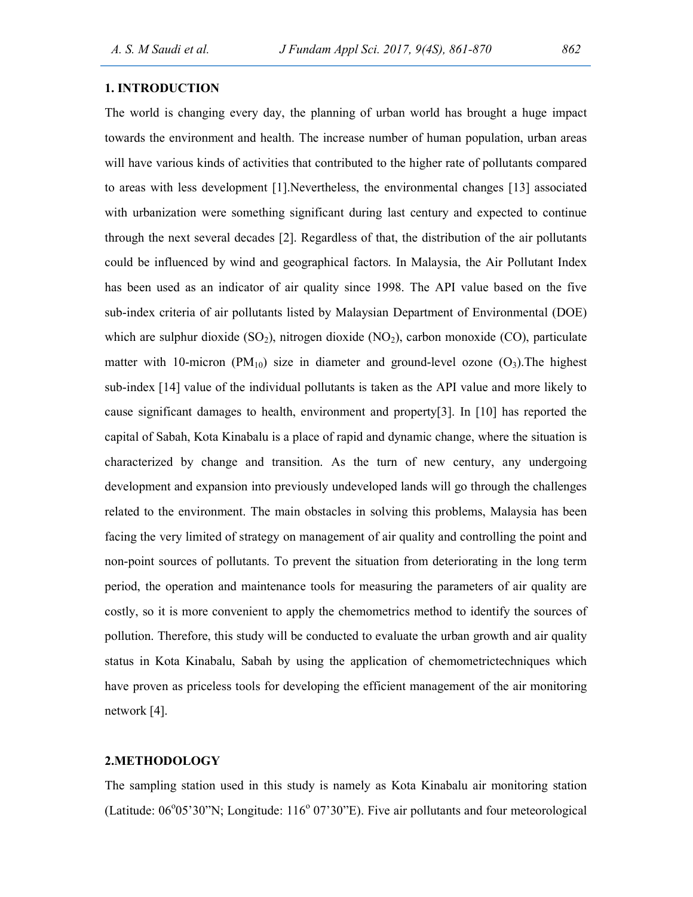#### 1. INTRODUCTION

The world is changing every day, the planning of urban world has brought a huge impact towards the environment and health. The increase number of human population, urban areas will have various kinds of activities that contributed to the higher rate of pollutants compared to areas with less development [1].Nevertheless, the environmental changes [13] associated with urbanization were something significant during last century and expected to continue through the next several decades [2]. Regardless of that, the distribution of the air pollutants could be influenced by wind and geographical factors. In Malaysia, the Air Pollutant Index has been used as an indicator of air quality since 1998. The API value based on the five sub-index criteria of air pollutants listed by Malaysian Department of Environmental (DOE) which are sulphur dioxide  $(SO<sub>2</sub>)$ , nitrogen dioxide  $(NO<sub>2</sub>)$ , carbon monoxide  $(CO)$ , particulate matter with 10-micron ( $PM_{10}$ ) size in diameter and ground-level ozone ( $O_3$ ). The highest sub-index [14] value of the individual pollutants is taken as the API value and more likely to cause significant damages to health, environment and property[3]. In [10] has reported the capital of Sabah, Kota Kinabalu is a place of rapid and dynamic change, where the situation is characterized by change and transition. As the turn of new century, any undergoing development and expansion into previously undeveloped lands will go through the challenges related to the environment. The main obstacles in solving this problems, Malaysia has been facing the very limited of strategy on management of air quality and controlling the point and non-point sources of pollutants. To prevent the situation from deteriorating in the long term period, the operation and maintenance tools for measuring the parameters of air quality are costly, so it is more convenient to apply the chemometrics method to identify the sources of pollution. Therefore, this study will be conducted to evaluate the urban growth and air quality status in Kota Kinabalu, Sabah by using the application of chemometrictechniques which have proven as priceless tools for developing the efficient management of the air monitoring network [4].

#### 2.METHODOLOGY

The sampling station used in this study is namely as Kota Kinabalu air monitoring station (Latitude:  $06^{\circ}05'30''$ N; Longitude:  $116^{\circ}07'30''$ E). Five air pollutants and four meteorological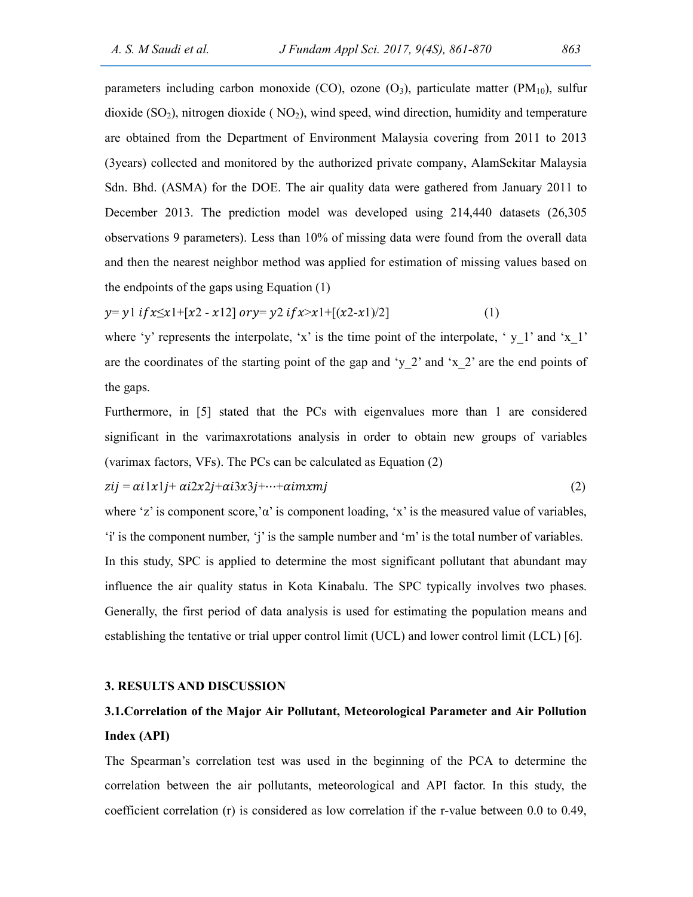parameters including carbon monoxide (CO), ozone  $(O_3)$ , particulate matter  $(PM_{10})$ , sulfur dioxide  $(SO<sub>2</sub>)$ , nitrogen dioxide ( $NO<sub>2</sub>$ ), wind speed, wind direction, humidity and temperature are obtained from the Department of Environment Malaysia covering from 2011 to 2013 (3years) collected and monitored by the authorized private company, AlamSekitar Malaysia Sdn. Bhd. (ASMA) for the DOE. The air quality data were gathered from January 2011 to December 2013. The prediction model was developed using 214,440 datasets (26,305 observations 9 parameters). Less than 10% of missing data were found from the overall data and then the nearest neighbor method was applied for estimation of missing values based on the endpoints of the gaps using Equation (1)

$$
y = y1 \text{ if } x \leq x1 + [x2 - x12] \text{ or } y = y2 \text{ if } x > x1 + [(x2 - x1)/2]
$$
 (1)

where 'y' represents the interpolate, 'x' is the time point of the interpolate, 'y 1' and 'x 1' are the coordinates of the starting point of the gap and 'y\_2' and 'x\_2' are the end points of the gaps.

Furthermore, in [5] stated that the PCs with eigenvalues more than 1 are considered significant in the varimaxrotations analysis in order to obtain new groups of variables (varimax factors, VFs). The PCs can be calculated as Equation (2)

$$
zij = \alpha i 1x1j + \alpha i 2x2j + \alpha i 3x3j + \dots + \alpha imxmj \tag{2}
$$

where 'z' is component score,' $\alpha$ ' is component loading, 'x' is the measured value of variables, 'i' is the component number, 'j' is the sample number and 'm' is the total number of variables. In this study, SPC is applied to determine the most significant pollutant that abundant may influence the air quality status in Kota Kinabalu. The SPC typically involves two phases. Generally, the first period of data analysis is used for estimating the population means and establishing the tentative or trial upper control limit (UCL) and lower control limit (LCL) [6].

#### 3. RESULTS AND DISCUSSION

## 3.1.Correlation of the Major Air Pollutant, Meteorological Parameter and Air Pollution Index (API)

The Spearman's correlation test was used in the beginning of the PCA to determine the correlation between the air pollutants, meteorological and API factor. In this study, the coefficient correlation (r) is considered as low correlation if the r-value between 0.0 to 0.49,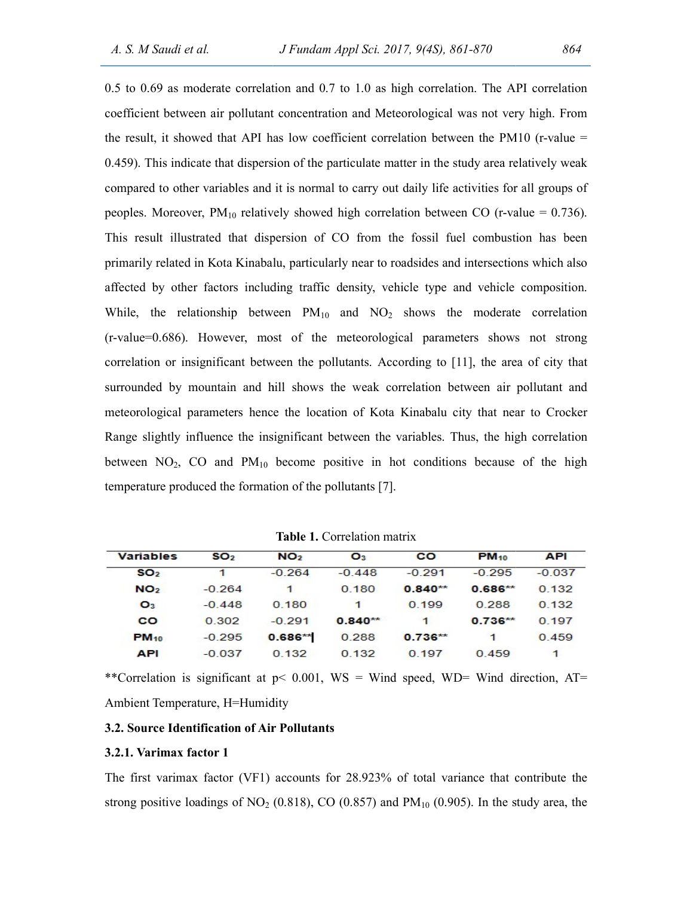0.5 to 0.69 as moderate correlation and 0.7 to 1.0 as high correlation. The API correlation coefficient between air pollutant concentration and Meteorological was not very high. From the result, it showed that API has low coefficient between air pollutant concentration and Meteorological was not very high. From the result, it showed that API has low coefficient correlation between the PM10 (r-value  $=$ 0.459). This indicate that dispersion of the particulate matter in the study area relatively weak compared to other variables and it is normal to carry out daily life activities for all groups of peoples. Moreover,  $PM_{10}$  relatively showed high correlation between CO (r-value = 0.736). This result illustrated that dispersion of CO from the fossil fuel combustion has been This result illustrated that dispersion of CO from the fossil fuel combustion has been<br>primarily related in Kota Kinabalu, particularly near to roadsides and intersections which also affected by other factors including traffic density, vehicle type and vehicle composition. While, the relationship between  $PM_{10}$  and  $NO_2$  shows the moderate correlation (r-value=0.686). However, most of the meteorological parameters shows not strong (r-value=0.686). However, most of the meteorological parameters shows not strong<br>correlation or insignificant between the pollutants. According to [11], the area of city that surrounded by mountain and hill shows the weak correlation between air pollutant and meteorological parameters hence the location of Kota Kinabalu city that near to Crocker meteorological parameters hence the location of Kota Kinabalu city that near to Crocker<br>Range slightly influence the insignificant between the variables. Thus, the high correlation between  $NO_2$ , CO and  $PM_{10}$  become positive in hot conditions because of the high temperature produced the formation of the pollutants [7]. 0.459). This indicate that dispersion of the particulate matter in the study area relatively weak<br>compared to other variables and it is normal to carry out daily life activities for all groups of<br>peoples. Moreover,  $PM_{10}$ 0.459). This indicate that dispersion of the particulate matter in the study area relatively weak<br>compared to other variables and it is normal to carry out daily life activities for all groups of<br>peoples. Moreover,  $PM_{10}$ affected by other factors including traffic density, vehicle type and vehicle composition.<br>
While, the relationship between  $PM_{10}$  and  $NO_2$  shows the moderate correlation<br>
(r-value=0.686). However, most of the meteorolo

| <b>Variables</b> | SO <sub>2</sub> | NO <sub>2</sub> | $\mathbf{O}_3$ | <b>CO</b>  | <b>PM</b> <sub>10</sub> | <b>API</b> |  |
|------------------|-----------------|-----------------|----------------|------------|-------------------------|------------|--|
| SO <sub>2</sub>  | 1               | $-0.264$        | $-0.448$       | $-0.291$   | $-0.295$                | $-0.037$   |  |
| NO <sub>2</sub>  | $-0.264$        | 1               | 0.180          | $0.840**$  | $0.686**$               | 0.132      |  |
| $\mathbf{O}_3$   | $-0.448$        | 0.180           | 1              | 0.199      | 0.288                   | 0.132      |  |
| <b>CO</b>        | 0.302           | $-0.291$        | $0.840**$      | 1          | $0.736***$              | 0.197      |  |
| $PM_{10}$        | $-0.295$        | $0.686**$       | 0.288          | $0.736***$ | 1                       | 0.459      |  |
| <b>API</b>       | $-0.037$        | 0,132           | 0,132          | 0.197      | 0.459                   |            |  |

Table 1. Correlation matrix

\*\*Correlation is significant at  $p$ < 0.001, WS = Wind speed, WD= Wind direction, AT= Ambient Temperature, H=Humidity

#### 3.2. Source Identification of Air Pollutants

#### 3.2.1. Varimax factor 1

The first varimax factor (VF1) accounts for 28.923% of total variance that contribute the The first varimax factor (VF1) accounts for 28.923% of total variance that contribute the<br>strong positive loadings of NO<sub>2</sub> (0.818), CO (0.857) and PM<sub>10</sub> (0.905). In the study area, the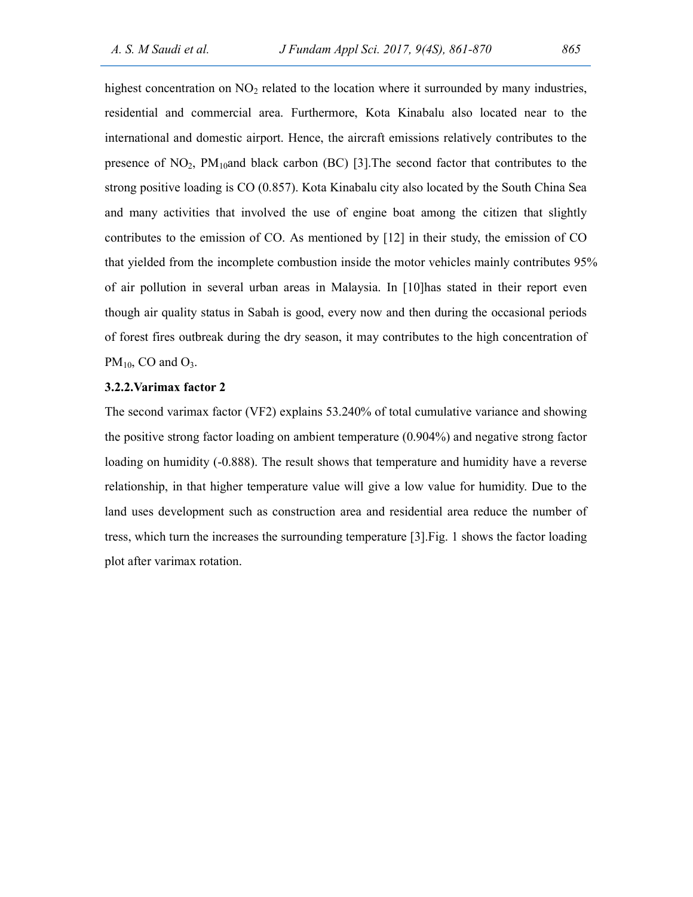highest concentration on  $NO<sub>2</sub>$  related to the location where it surrounded by many industries, residential and commercial area. Furthermore, Kota Kinabalu also located near to the international and domestic airport. Hence, the aircraft emissions relatively contributes to the presence of  $NO<sub>2</sub>$ ,  $PM<sub>10</sub>$ and black carbon (BC) [3]. The second factor that contributes to the strong positive loading is CO (0.857). Kota Kinabalu city also located by the South China Sea and many activities that involved the use of engine boat among the citizen that slightly contributes to the emission of CO. As mentioned by [12] in their study, the emission of CO that yielded from the incomplete combustion inside the motor vehicles mainly contributes 95% of air pollution in several urban areas in Malaysia. In [10]has stated in their report even though air quality status in Sabah is good, every now and then during the occasional periods of forest fires outbreak during the dry season, it may contributes to the high concentration of  $PM_{10}$ , CO and O<sub>3</sub>.

#### 3.2.2.Varimax factor 2

The second varimax factor (VF2) explains 53.240% of total cumulative variance and showing the positive strong factor loading on ambient temperature (0.904%) and negative strong factor loading on humidity (-0.888). The result shows that temperature and humidity have a reverse relationship, in that higher temperature value will give a low value for humidity. Due to the land uses development such as construction area and residential area reduce the number of tress, which turn the increases the surrounding temperature [3].Fig. 1 shows the factor loading plot after varimax rotation.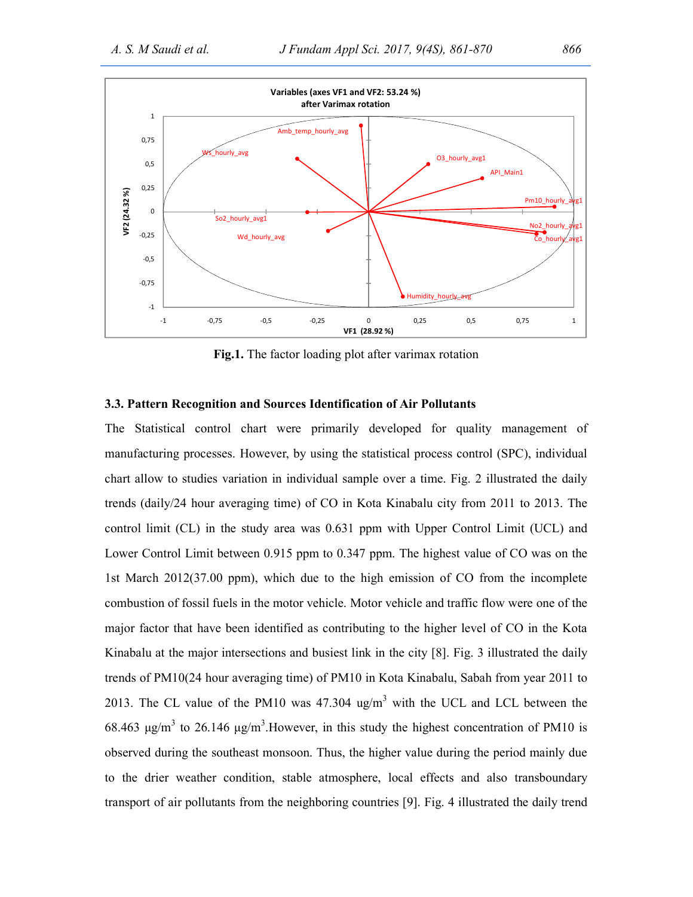

Fig.1. The factor loading plot after varimax rotation

#### 3.3. Pattern Recognition and Sources Identification of Air Pollutants

The Statistical control chart were primarily developed for quality management of manufacturing processes. However, by using the statistical process control (SPC), individual chart allow to studies variation in individual sample over a time. Fig. 2 illustrated the daily trends (daily/24 hour averaging time) of CO in Kota Kinabalu city from 2011 to 2013. The control limit (CL) in the study area was 0.631 ppm with Upper Control Limit (UCL) and Lower Control Limit between 0.915 ppm to 0.347 ppm. The highest value of CO was on the 1st March 2012(37.00 ppm), which due to the high emission of CO from the incomplete combustion of fossil fuels in the motor vehicle. Motor vehicle and traffic flow were one of the major factor that have been identified as contributing to the higher level of CO in the Kota Kinabalu at the major intersections and busiest link in the city [8]. Fig. 3 illustrated the daily trends of PM10(24 hour averaging time) of PM10 in Kota Kinabalu, Sabah from year 2011 to 2013. The CL value of the PM10 was  $47.304$  ug/m<sup>3</sup> with the UCL and LCL between the 68.463 μg/m<sup>3</sup> to 26.146 μg/m<sup>3</sup>. However, in this study the highest concentration of PM10 is observed during the southeast monsoon. Thus, the higher value during the period mainly due to the drier weather condition, stable atmosphere, local effects and also transboundary transport of air pollutants from the neighboring countries [9]. Fig. 4 illustrated the daily trend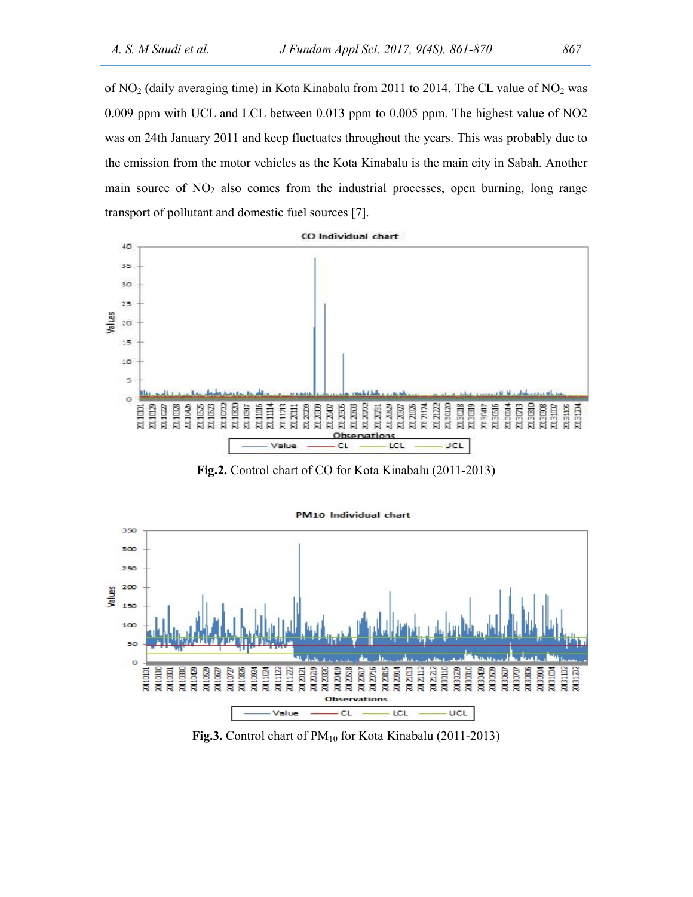of  $NO<sub>2</sub>$  (daily averaging time) in Kota Kinabalu from 2011 to 2014. The CL value of  $NO<sub>2</sub>$  was 0.009 ppm with UCL and LCL between 0.013 ppm to 0.005 ppm. The highest value of NO2 was on 24th January 2011 and keep fluctuates throughout the years. This was probably due to the emission from the motor vehicles as the Kota Kinabalu is the main city in Sabah. Another main source of  $NO<sub>2</sub>$  also comes from the industrial processes, open burning, long range transport of pollutant and domestic fuel sources [7].



Fig.2. Control chart of CO for Kota Kinabalu (2011-2013)



Fig.3. Control chart of  $PM_{10}$  for Kota Kinabalu (2011-2013)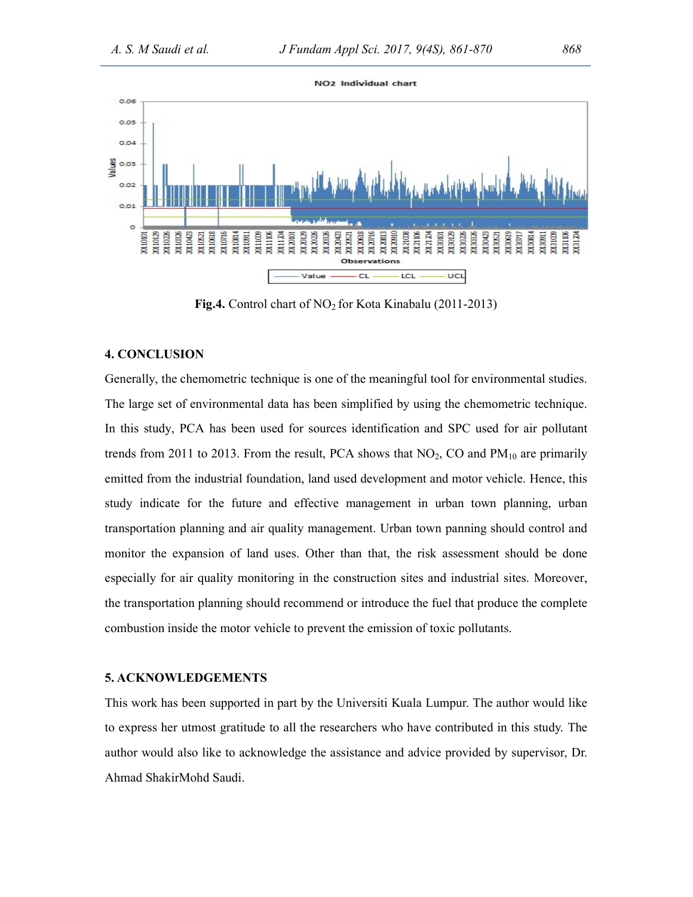

Fig.4. Control chart of  $NO<sub>2</sub>$  for Kota Kinabalu (2011-2013)

#### 4. CONCLUSION

Generally, the chemometric technique is one of the meaningful tool for environmental studies. The large set of environmental data has been simplified by using the chemometric technique. In this study, PCA has been used for sources identification and SPC used for air pollutant trends from 2011 to 2013. From the result, PCA shows that  $NO<sub>2</sub>$ , CO and  $PM<sub>10</sub>$  are primarily emitted from the industrial foundation, land used development and motor vehicle. Hence, this study indicate for the future and effective management in urban town planning, urban transportation planning and air quality management. Urban town panning should control and monitor the expansion of land uses. Other than that, the risk assessment should be done especially for air quality monitoring in the construction sites and industrial sites. Moreover, the transportation planning should recommend or introduce the fuel that produce the complete combustion inside the motor vehicle to prevent the emission of toxic pollutants.

#### 5. ACKNOWLEDGEMENTS

This work has been supported in part by the Universiti Kuala Lumpur. The author would like to express her utmost gratitude to all the researchers who have contributed in this study. The author would also like to acknowledge the assistance and advice provided by supervisor, Dr. Ahmad ShakirMohd Saudi.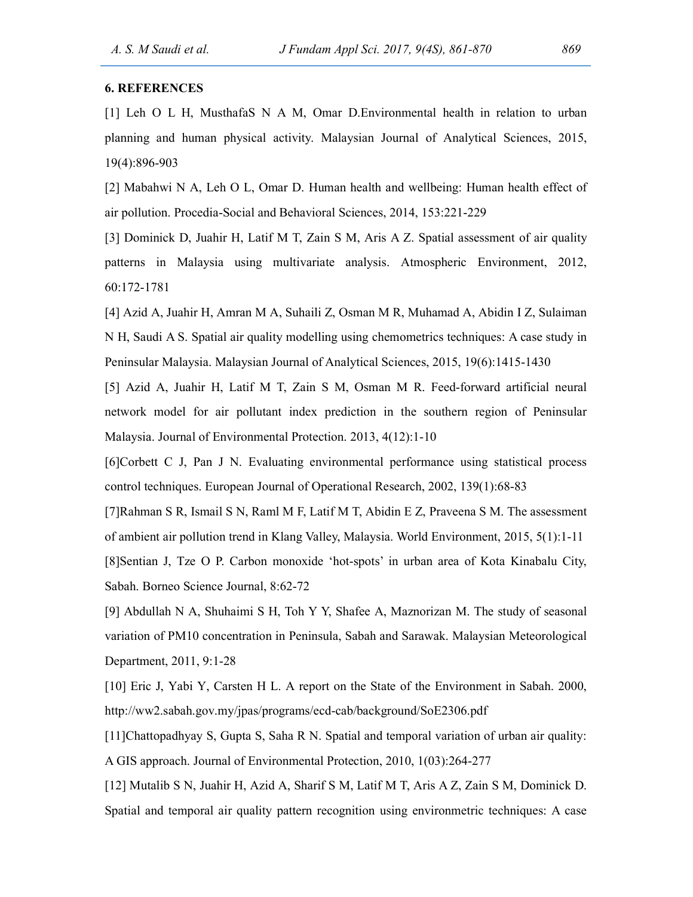#### 6. REFERENCES

[1] Leh O L H, MusthafaS N A M, Omar D.Environmental health in relation to urban planning and human physical activity. Malaysian Journal of Analytical Sciences, 2015, 19(4):896-903

[2] Mabahwi N A, Leh O L, Omar D. Human health and wellbeing: Human health effect of air pollution. Procedia-Social and Behavioral Sciences, 2014, 153:221-229

[3] Dominick D, Juahir H, Latif M T, Zain S M, Aris A Z. Spatial assessment of air quality patterns in Malaysia using multivariate analysis. Atmospheric Environment, 2012, 60:172-1781

[4] Azid A, Juahir H, Amran M A, Suhaili Z, Osman M R, Muhamad A, Abidin I Z, Sulaiman N H, Saudi A S. Spatial air quality modelling using chemometrics techniques: A case study in Peninsular Malaysia. Malaysian Journal of Analytical Sciences, 2015, 19(6):1415-1430

[5] Azid A, Juahir H, Latif M T, Zain S M, Osman M R. Feed-forward artificial neural network model for air pollutant index prediction in the southern region of Peninsular Malaysia. Journal of Environmental Protection. 2013, 4(12):1-10

[6]Corbett C J, Pan J N. Evaluating environmental performance using statistical process control techniques. European Journal of Operational Research, 2002, 139(1):68-83

[7]Rahman S R, Ismail S N, Raml M F, Latif M T, Abidin E Z, Praveena S M. The assessment of ambient air pollution trend in Klang Valley, Malaysia. World Environment, 2015, 5(1):1-11 [8]Sentian J, Tze O P. Carbon monoxide 'hot-spots' in urban area of Kota Kinabalu City, Sabah. Borneo Science Journal, 8:62-72

[9] Abdullah N A, Shuhaimi S H, Toh Y Y, Shafee A, Maznorizan M. The study of seasonal variation of PM10 concentration in Peninsula, Sabah and Sarawak. Malaysian Meteorological Department, 2011, 9:1-28

[10] Eric J, Yabi Y, Carsten H L. A report on the State of the Environment in Sabah. 2000, http://ww2.sabah.gov.my/jpas/programs/ecd-cab/background/SoE2306.pdf

[11]Chattopadhyay S, Gupta S, Saha R N. Spatial and temporal variation of urban air quality: A GIS approach. Journal of Environmental Protection, 2010, 1(03):264-277

[12] Mutalib S N, Juahir H, Azid A, Sharif S M, Latif M T, Aris A Z, Zain S M, Dominick D. Spatial and temporal air quality pattern recognition using environmetric techniques: A case